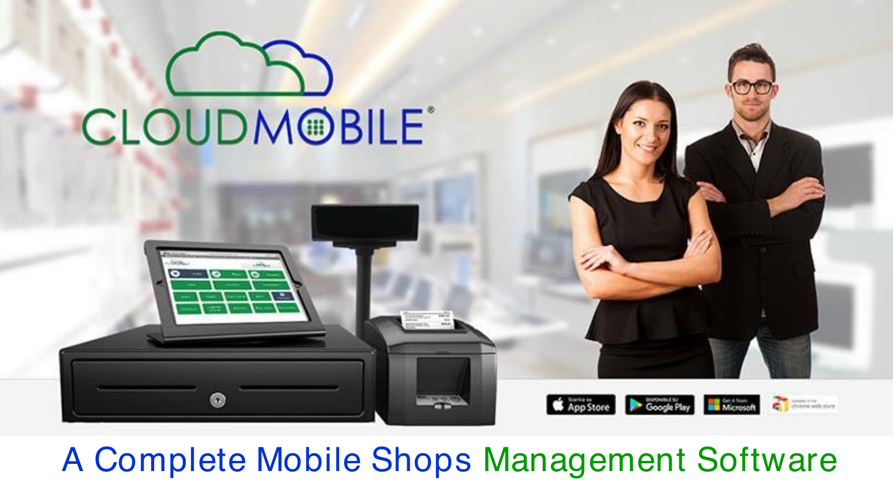

## A Complete Mobile Shops Management Software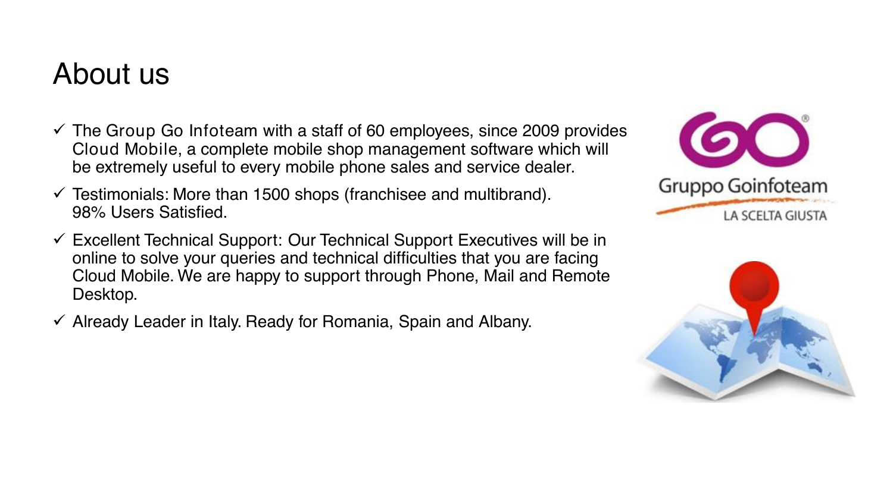## About us

- $\checkmark$  The Group Go Infoteam with a staff of 60 employees, since 2009 provides Cloud Mobile, a complete mobile shop management software which will be extremely useful to every mobile phone sales and service dealer.
- $\checkmark$  Testimonials: More than 1500 shops (franchisee and multibrand). 98% Users Satisfied.
- $\checkmark$  Excellent Technical Support: Our Technical Support Executives will be in online to solve your queries and technical difficulties that you are facing Cloud Mobile. We are happy to support through Phone, Mail and Remote Desktop.
- $\checkmark$  Already Leader in Italy. Ready for Romania, Spain and Albany.



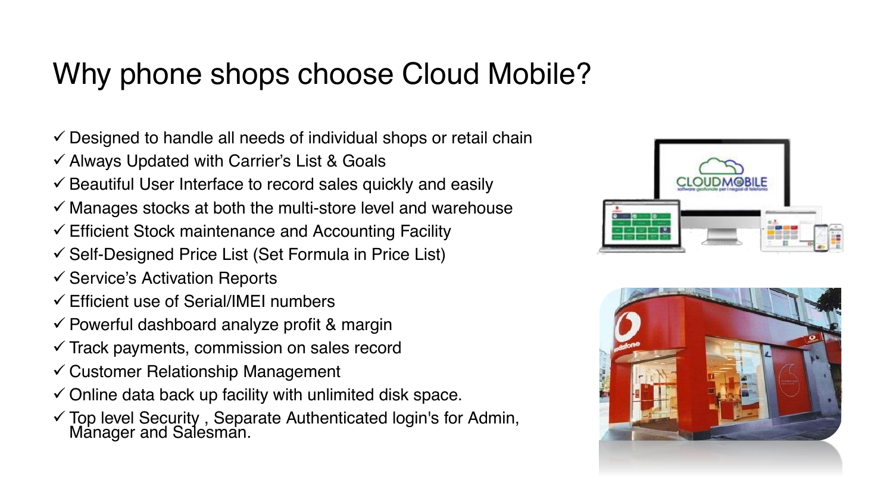## Why phone shops choose Cloud Mobile?

- $\checkmark$  Designed to handle all needs of individual shops or retail chain
- $\checkmark$  Always Updated with Carrier's List & Goals
- $\checkmark$  Beautiful User Interface to record sales quickly and easily
- $\checkmark$  Manages stocks at both the multi-store level and warehouse
- $\checkmark$  Efficient Stock maintenance and Accounting Facility
- $\checkmark$  Self-Designed Price List (Set Formula in Price List)
- $\checkmark$  Service's Activation Reports
- $\checkmark$  Efficient use of Serial/IMEI numbers
- $\checkmark$  Powerful dashboard analyze profit & margin
- $\checkmark$  Track payments, commission on sales record
- $\checkmark$  Customer Relationship Management
- $\checkmark$  Online data back up facility with unlimited disk space.
- <sup>9</sup> Top level Security , Separate Authenticated login's for Admin, Manager and Salesman.



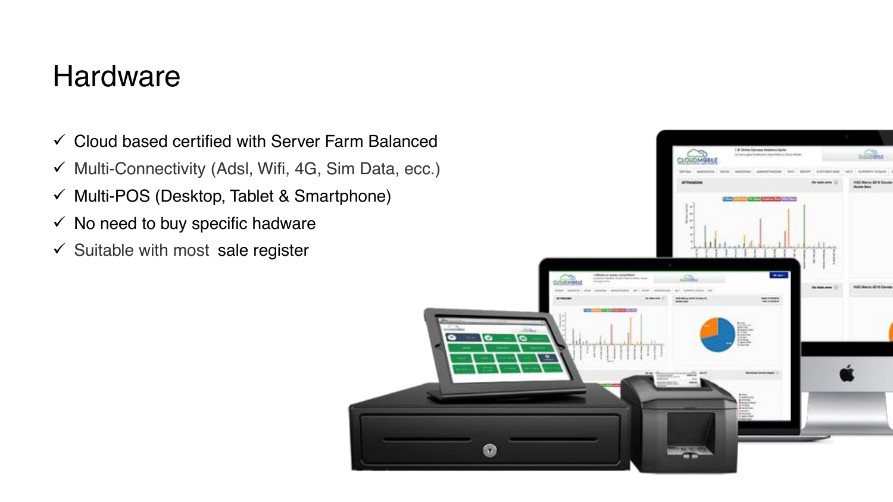### **Hardware**

- $\checkmark$  Cloud based certified with Server Farm Balanced
- $\checkmark$  Multi-Connectivity (Adsl, Wifi, 4G, Sim Data, ecc.)
- $\checkmark$  Multi-POS (Desktop, Tablet & Smartphone)
- $\checkmark$  No need to buy specific hadware
- $\checkmark$  Suitable with most sale register

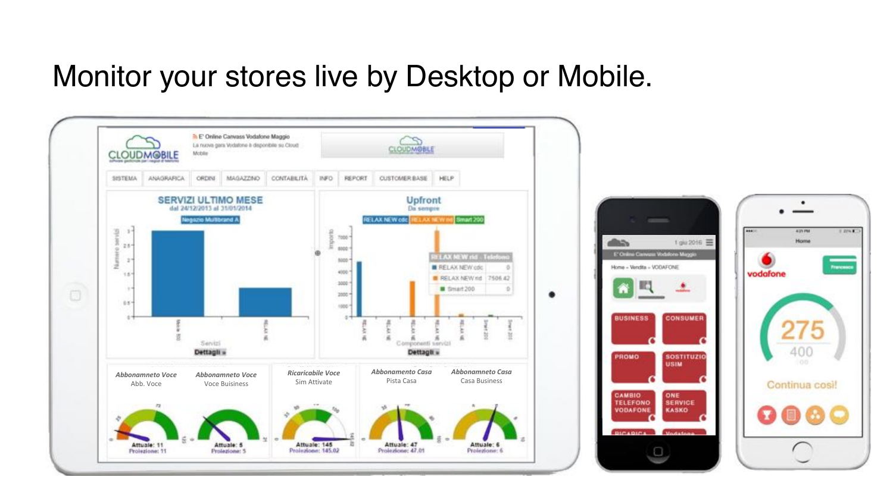### Monitor your stores live by Desktop or Mobile.



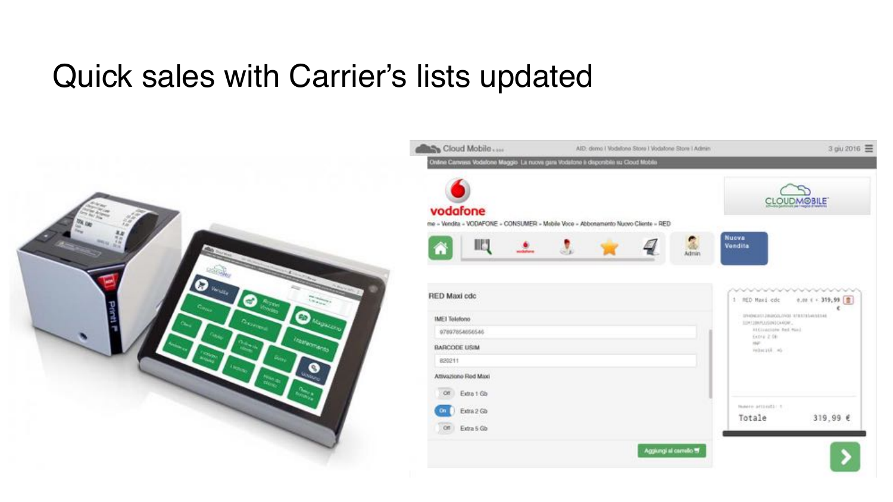## Quick sales with Carrier's lists updated



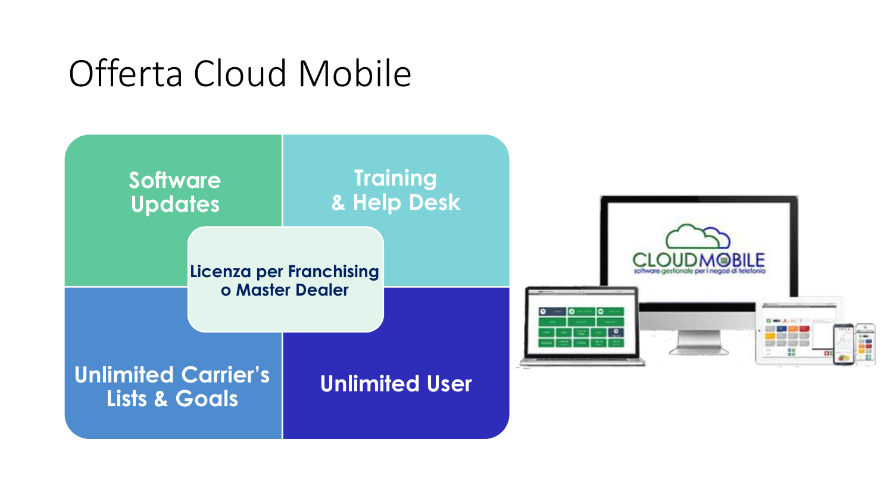# Offerta Cloud Mobile

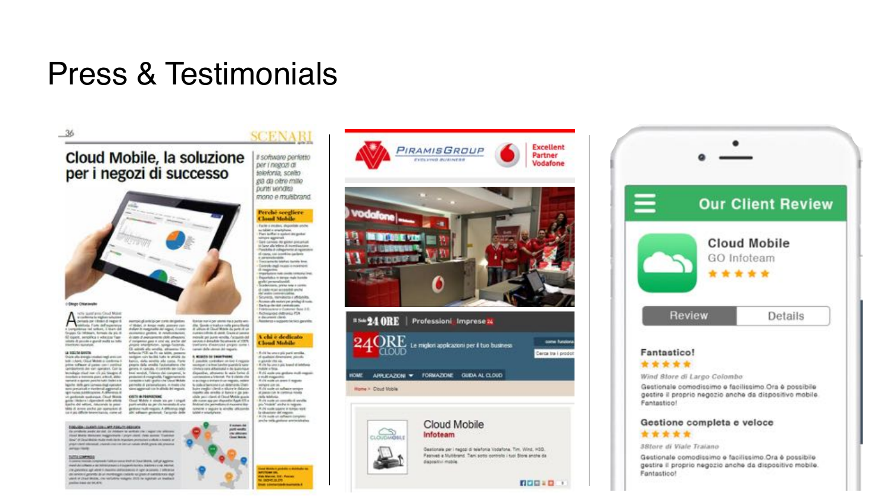## Press & Testimonials

### - 36

Cloud Mobile, la soluzione per i negozi di successo



with speedway flood Motor  $A =$ sumply plants to be a rest despites Academy of which a region<br>form of which is formed of Abdes, in Amps made posterio con-<br>Andere in meganistic del regno, il como economico pioten. In rendereingover SI topick, senality a vehicles Tage<br>where it points a good multi to hitle A case of averagements cloth attractions if compense gasp a crist six, anche del Electricity: summarie Gli astrati alla vendia, all'averso l'è-<br>Artigola PCE da Pr de Mills, present

### La social Groca

Show allowing containing are con-<br>both interactional Motor is continued.<br>prime suffered at passes can construct tendapon rain las liki. Laba la attuala da beros, dala scretta ala casa. Fara:<br>peano dala unalia fautamento che cambiomeral dei vieri operatori. Con la general in cancella, il controllo più codeo bundage sted not cli på blegen d blue sensibili, Talanca dei componei, le investory a instructor stand with all ability processes divergently, Taggerman in<br>complete in MF gentle she should delute contracts in sponsor position habit dealers a lalightly doll; and Limite that conster sen preanat e netenit agrenata.<br>Ign nosa setticanose. A diferens ti since approvals can be allocks del pressure ONTH & PERFECTIVE or postments moderning. Object Motors gain like an information calls affered Closed Middle 4 shorts will per 1 shorts che del attori, riducando la presi parti widta da per chi te gotine half-region Adhieve ogé takte på korre andre are sperasture di-

#### **EDDATES CLOSE CONTINUES FOR THE OCCUPAN**

the completes product day and the products for services your company one antiques Hoad Malia Medulate tragerymants / projet closed. Hoad account 15 paintings Source: and the state material and interesting personal collects in the set of propriated states of change crafts and contact range range divide press allows around **AFRICANT** 

#### **TUTTA GOVERNAN**

reads full between a that of Chuck Matrix, Indige aggives - In contrast contrast a compression further contrast should be contrast to the party application. The generation age weren't chasened and assumes to sign accounts. I selected the service of growths also investing procedures to grant of contributions slight and contract the miles kan activities

Il software perfetto per i negozi di telefonia, scelto già da ottro millo **DUNN VIOLOGIES** mono e multibrand.

**SCENARI** 

### Perché scegliere Cloud Mobile Factors insides, shippidde anche su tablet a analyshore.<br>They built a reprint the genture since agreed Get canvis its given preunut.<br>In best alle blinn it incentivation. Possibiles in collegamente al impierizioni of cases, cal (continui parlam)<br>e personalegian<br>Encourante bestuo bushe line. **Committed mass encoment** di magazine emportante os consistente instituciones Reportation in derivate make bushing gradu's permanalization.<br>Suadanciante, parina cana a continu d-cate road accepted anche an' walco curricato ballas Scyrita, rendersy of dates. Research suice pe picket di solo. **Backup develop constraintent** Hidrocene i Cotine Bot III.<br>Actionales (Athens) PD dealership and homerus + regiperer bicties gerantis

A chi è dedicato **Cloud Mobile** 

### A MIGHTS OF FAXATIONS

tue nur à per utens mais punts va

(Op. Gundens Vadison radio party than)

monik pri juice vents. Acquisi or .<br>secon + legate Sculpects at 1979.<br>traficers d'esecund propos sons

canal deb stores at regare.

C passible controllant on log 4 response COMO INFORMAZIONE A DI BUSINESS dispositive, attraverse is used forces of continental and forest and the trade of the to accept a transition request, relate for pode or benezinted un determinists (Sweri buint credits i checke silvine in didasce<br>reporte via vivadra si turicarvi gle pre-<br>vilale periodisci di Devel Mekle quarte alle mann som sigt student in Angel 676 a lamont coupler's writte atknows

port each

she almost

Good Book









**IS& 24 ORE | Professioni Imprese X** RF come haralor Le miglion applicazioni per il tuo businessi aoud Cerca tra i prodot APPLICAZIONI \* FORMAZIONE GUIDA AL CLOUD HOME.

### Home > Coud Mobile



**RODED**